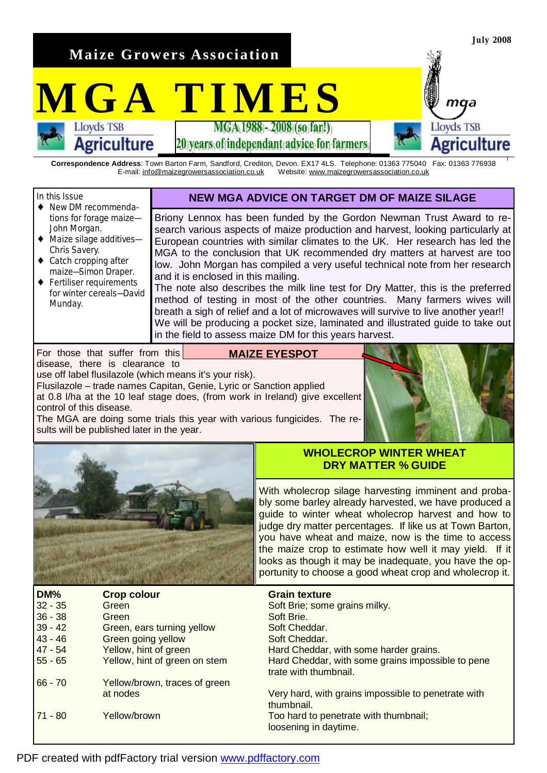**Maize Growers Association** 

**Agriculture** 

# **MGATIMES**

20 vears of independant advice for farmers

**Correspondence Address**: Town Barton Farm, Sandford, Crediton, Devon. EX17 4LS. Telephone: 01363 775040 Fax: 01363 776938 E-mail: [info@maizegrowersassociation.co.uk](mailto:info@maizegrowersassociation.co.uk) Website: [www.maizegrowersassociation.co.uk](http://www.maizegrowersassociation.co.uk)



The MGA are doing some trials this year with various fungicides. The results will be published later in the year.



**July 2008** 

maa

Agriculture

**Lloyds TSB** 



# **WHOLECROP WINTER WHEAT DRY MATTER % GUIDE**

With wholecrop silage harvesting imminent and probably some barley already harvested, we have produced a guide to winter wheat wholecrop harvest and how to judge dry matter percentages. If like us at Town Barton, you have wheat and maize, now is the time to access the maize crop to estimate how well it may yield. If it looks as though it may be inadequate, you have the opportunity to choose a good wheat crop and wholecrop it.

| DM%       | <b>Crop colour</b>            | <b>Grain texture</b>                                                       |
|-----------|-------------------------------|----------------------------------------------------------------------------|
| $32 - 35$ | Green                         | Soft Brie; some grains milky.                                              |
| $36 - 38$ | Green                         | Soft Brie.                                                                 |
| $39 - 42$ | Green, ears turning yellow    | Soft Cheddar.                                                              |
| $43 - 46$ | Green going yellow            | Soft Cheddar.                                                              |
| $47 - 54$ | Yellow, hint of green         | Hard Cheddar, with some harder grains.                                     |
| $55 - 65$ | Yellow, hint of green on stem | Hard Cheddar, with some grains impossible to pene<br>trate with thumbnail. |
| $66 - 70$ | Yellow/brown, traces of green |                                                                            |
|           | at nodes                      | Very hard, with grains impossible to penetrate with<br>thumbnail.          |
| $71 - 80$ | Yellow/brown                  | Too hard to penetrate with thumbnail;<br>loosening in daytime.             |